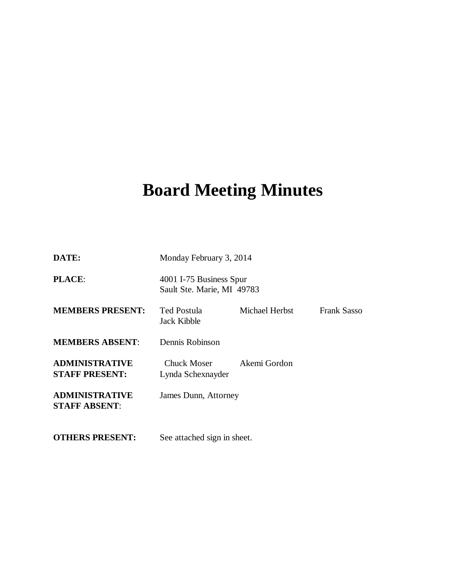# **Board Meeting Minutes**

| DATE:                                          | Monday February 3, 2014                               |                |                    |
|------------------------------------------------|-------------------------------------------------------|----------------|--------------------|
| <b>PLACE:</b>                                  | 4001 I-75 Business Spur<br>Sault Ste. Marie, MI 49783 |                |                    |
| <b>MEMBERS PRESENT:</b>                        | Ted Postula<br>Jack Kibble                            | Michael Herbst | <b>Frank Sasso</b> |
| <b>MEMBERS ABSENT:</b>                         | Dennis Robinson                                       |                |                    |
| <b>ADMINISTRATIVE</b><br><b>STAFF PRESENT:</b> | Chuck Moser<br>Lynda Schexnayder                      | Akemi Gordon   |                    |
| <b>ADMINISTRATIVE</b><br><b>STAFF ABSENT:</b>  | James Dunn, Attorney                                  |                |                    |
| <b>OTHERS PRESENT:</b>                         | See attached sign in sheet.                           |                |                    |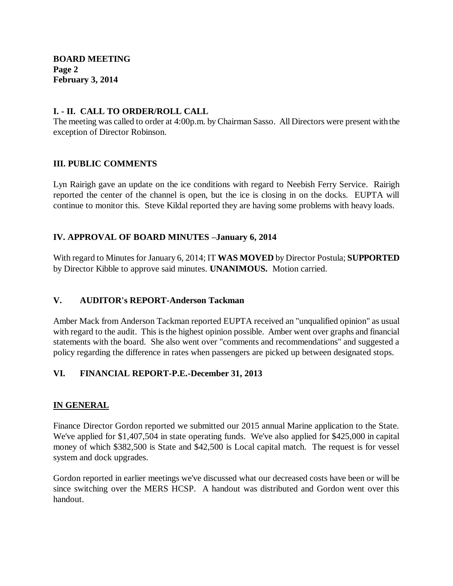## **I. - II. CALL TO ORDER/ROLL CALL**

The meeting was called to order at 4:00p.m. by Chairman Sasso. All Directors were present with the exception of Director Robinson.

## **III. PUBLIC COMMENTS**

Lyn Rairigh gave an update on the ice conditions with regard to Neebish Ferry Service. Rairigh reported the center of the channel is open, but the ice is closing in on the docks. EUPTA will continue to monitor this. Steve Kildal reported they are having some problems with heavy loads.

# **IV. APPROVAL OF BOARD MINUTES –January 6, 2014**

With regard to Minutes for January 6, 2014; IT **WAS MOVED** by Director Postula; **SUPPORTED**  by Director Kibble to approve said minutes. **UNANIMOUS.** Motion carried.

#### **V. AUDITOR's REPORT-Anderson Tackman**

Amber Mack from Anderson Tackman reported EUPTA received an "unqualified opinion" as usual with regard to the audit. This is the highest opinion possible. Amber went over graphs and financial statements with the board. She also went over "comments and recommendations" and suggested a policy regarding the difference in rates when passengers are picked up between designated stops.

# **VI. FINANCIAL REPORT-P.E.-December 31, 2013**

# **IN GENERAL**

Finance Director Gordon reported we submitted our 2015 annual Marine application to the State. We've applied for \$1,407,504 in state operating funds. We've also applied for \$425,000 in capital money of which \$382,500 is State and \$42,500 is Local capital match. The request is for vessel system and dock upgrades.

Gordon reported in earlier meetings we've discussed what our decreased costs have been or will be since switching over the MERS HCSP. A handout was distributed and Gordon went over this handout.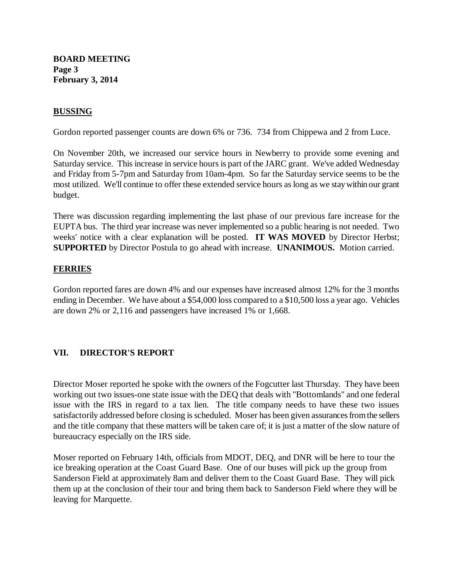**BOARD MEETING Page 3 February 3, 2014**

## **BUSSING**

Gordon reported passenger counts are down 6% or 736. 734 from Chippewa and 2 from Luce.

On November 20th, we increased our service hours in Newberry to provide some evening and Saturday service. This increase in service hours is part of the JARC grant. We've added Wednesday and Friday from 5-7pm and Saturday from 10am-4pm. So far the Saturday service seems to be the most utilized. We'll continue to offer these extended service hours as long as we stay within our grant budget.

There was discussion regarding implementing the last phase of our previous fare increase for the EUPTA bus. The third year increase was never implemented so a public hearing is not needed. Two weeks' notice with a clear explanation will be posted. **IT WAS MOVED** by Director Herbst; **SUPPORTED** by Director Postula to go ahead with increase. **UNANIMOUS.** Motion carried.

#### **FERRIES**

Gordon reported fares are down 4% and our expenses have increased almost 12% for the 3 months ending in December. We have about a \$54,000 loss compared to a \$10,500 loss a year ago. Vehicles are down 2% or 2,116 and passengers have increased 1% or 1,668.

#### **VII. DIRECTOR'S REPORT**

Director Moser reported he spoke with the owners of the Fogcutter last Thursday. They have been working out two issues-one state issue with the DEQ that deals with "Bottomlands" and one federal issue with the IRS in regard to a tax lien. The title company needs to have these two issues satisfactorily addressed before closing is scheduled. Moser has been given assurances from the sellers and the title company that these matters will be taken care of; it is just a matter of the slow nature of bureaucracy especially on the IRS side.

Moser reported on February 14th, officials from MDOT, DEQ, and DNR will be here to tour the ice breaking operation at the Coast Guard Base. One of our buses will pick up the group from Sanderson Field at approximately 8am and deliver them to the Coast Guard Base. They will pick them up at the conclusion of their tour and bring them back to Sanderson Field where they will be leaving for Marquette.